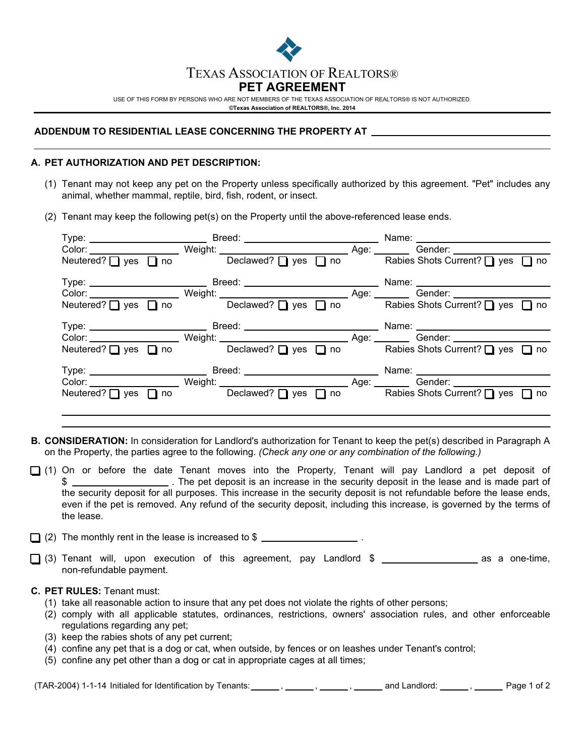

USE OF THIS FORM BY PERSONS WHO ARE NOT MEMBERS OF THE TEXAS ASSOCIATION OF REALTORS® IS NOT AUTHORIZED. **©Texas Association of REALTORS®, Inc. 2014**

# **ADDENDUM TO RESIDENTIAL LEASE CONCERNING THE PROPERTY AT**

# **A. PET AUTHORIZATION AND PET DESCRIPTION:**

- (1) Tenant may not keep any pet on the Property unless specifically authorized by this agreement. "Pet" includes any animal, whether mammal, reptile, bird, fish, rodent, or insect.
- (2) Tenant may keep the following pet(s) on the Property until the above-referenced lease ends.

|  | Color: Weight: Weight: Neutered? Dives Dives Dives Dives Dives Dives Dives Dives Dives Dives Dives Dives Dives Dives Dives Dives Dives Dives Dives Dives Dives Dives Dives Dives Dives Dives Dives Dives Dives Dives Dives Div |
|--|--------------------------------------------------------------------------------------------------------------------------------------------------------------------------------------------------------------------------------|
|  | Color: Weight: Weight: Neutered? U yes U no<br>Neutered? U yes U no<br>Neutered? U yes U no<br>Declawed? U yes U no                                                                                                            |
|  | Color: Weight: Weight: Age: Age: Gender:<br>Neutered? ■ yes ■ no Declawed? ■ yes ■ no Rabies Shots Current? ■ yes ■ no                                                                                                         |
|  | Neutered? wes no beclawed? pes no Rabies Shots Current? ves no                                                                                                                                                                 |

- **B. CONSIDERATION:** In consideration for Landlord's authorization for Tenant to keep the pet(s) described in Paragraph A on the Property, the parties agree to the following. *(Check any one or any combination of the following.)*
- $\Box$  (1) On or before the date Tenant moves into the Property, Tenant will pay Landlord a pet deposit of \$ . The pet deposit is an increase in the security deposit in the lease and is made part of the security deposit for all purposes. This increase in the security deposit is not refundable before the lease ends, even if the pet is removed. Any refund of the security deposit, including this increase, is governed by the terms of the lease.

 $\Box$  (2) The monthly rent in the lease is increased to \$  $\Box$ 

 $\Box$  (3) Tenant will, upon execution of this agreement, pay Landlord \$ as a one-time, non-refundable payment.

# **C. PET RULES:** Tenant must:

- (1) take all reasonable action to insure that any pet does not violate the rights of other persons;
- (2) comply with all applicable statutes, ordinances, restrictions, owners' association rules, and other enforceable regulations regarding any pet;
- (3) keep the rabies shots of any pet current;
- (4) confine any pet that is a dog or cat, when outside, by fences or on leashes under Tenant's control;
- (5) confine any pet other than a dog or cat in appropriate cages at all times;

 $(TAR-2004)$  1-1-14 Initialed for Identification by Tenants:  $\frac{1}{1-\frac{1}{2}}$ ,  $\frac{1}{1-\frac{1}{2}}$ , and Landlord:  $\frac{1}{1-\frac{1}{2}}$ ,  $\frac{1}{1-\frac{1}{2}}$  Page 1 of 2